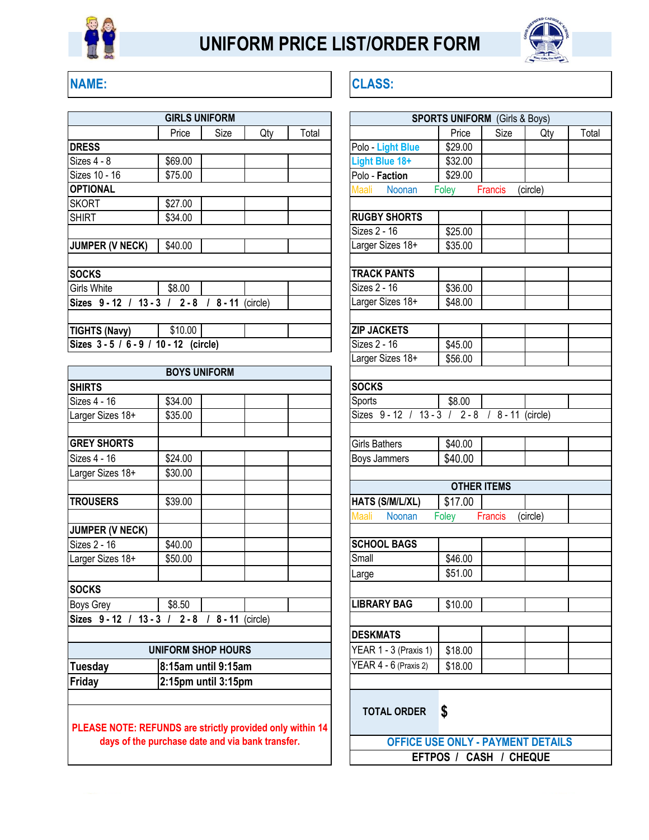

## **UNIFORM PRICE LIST/ORDER FORM**



## **NAME: CLASS:**

| <b>GIRLS UNIFORM</b>                    |         |      |     |       | <b>SPORTS UNIFORM</b> (Girls & Boy |         |                |          |  |
|-----------------------------------------|---------|------|-----|-------|------------------------------------|---------|----------------|----------|--|
|                                         | Price   | Size | Qty | Total |                                    | Price   | Size           |          |  |
| <b>DRESS</b>                            |         |      |     |       | Polo Light Blue                    | \$29.00 |                |          |  |
| Sizes 4 - 8                             | \$69.00 |      |     |       | Light Blue 18+                     | \$32.00 |                |          |  |
| Sizes 10 - 16                           | \$75.00 |      |     |       | Polo - Faction                     | \$29.00 |                |          |  |
| <b>OPTIONAL</b>                         |         |      |     |       | Noonan<br>Maali                    | Foley   | <b>Francis</b> | (circle) |  |
| <b>SKORT</b>                            | \$27.00 |      |     |       |                                    |         |                |          |  |
| <b>SHIRT</b>                            | \$34.00 |      |     |       | <b>RUGBY SHORTS</b>                |         |                |          |  |
|                                         |         |      |     |       | Sizes 2 - 16                       | \$25.00 |                |          |  |
| <b>JUMPER (V NECK)</b>                  | \$40.00 |      |     |       | Larger Sizes 18+                   | \$35.00 |                |          |  |
| <b>SOCKS</b>                            |         |      |     |       | <b>TRACK PANTS</b>                 |         |                |          |  |
| Girls White                             | \$8.00  |      |     |       | Sizes 2 - 16                       | \$36.00 |                |          |  |
| Sizes 9-12 / 13-3 / 2-8 / 8-11 (circle) |         |      |     |       | Larger Sizes 18+                   | \$48.00 |                |          |  |
|                                         |         |      |     |       |                                    |         |                |          |  |
| <b>TIGHTS (Navy)</b>                    | \$10.00 |      |     |       | <b>ZIP JACKETS</b>                 |         |                |          |  |
| Sizes 3 - 5 / 6 - 9 / 10 - 12 (circle)  |         |      |     |       | Sizes 2 - 16                       | \$45.00 |                |          |  |
|                                         |         |      |     |       |                                    |         |                |          |  |

|                           |                           |                     | יטו כאשוט ושעו                          | VU.UU                            |                    |          |
|---------------------------|---------------------------|---------------------|-----------------------------------------|----------------------------------|--------------------|----------|
|                           | <b>BOYS UNIFORM</b>       |                     |                                         |                                  |                    |          |
| <b>SHIRTS</b>             |                           |                     | <b>SOCKS</b>                            |                                  |                    |          |
| Sizes 4 - 16              | \$34.00                   |                     | Sports                                  | \$8.00                           |                    |          |
| Larger Sizes 18+          | \$35.00                   |                     | Sizes 9-12 / 13-3 / 2-8 / 8-11 (circle) |                                  |                    |          |
| <b>GREY SHORTS</b>        |                           |                     | <b>Girls Bathers</b>                    | \$40.00                          |                    |          |
| Sizes 4 - 16              | \$24.00                   |                     | Boys Jammers                            | \$40.00                          |                    |          |
| Larger Sizes 18+          | \$30.00                   |                     |                                         |                                  |                    |          |
|                           |                           |                     |                                         |                                  | <b>OTHER ITEMS</b> |          |
| <b>TROUSERS</b>           | \$39.00                   |                     | HATS (S/M/L/XL)                         | \$17.00                          |                    |          |
|                           |                           |                     | Maali<br>Noonan                         | Foley                            | <b>Francis</b>     | (circle) |
| <b>JUMPER (V NECK)</b>    |                           |                     |                                         |                                  |                    |          |
| Sizes 2 - 16              | \$40.00                   |                     | <b>SCHOOL BAGS</b>                      |                                  |                    |          |
| Larger Sizes 18+          | \$50.00                   |                     | Small                                   | \$46.00                          |                    |          |
|                           |                           |                     | Large                                   | \$51.00                          |                    |          |
| <b>SOCKS</b>              |                           |                     |                                         |                                  |                    |          |
| Boys Grey                 | \$8.50                    |                     | <b>LIBRARY BAG</b>                      | \$10.00                          |                    |          |
| Sizes 9-12 / 13-3 / 2-8 / |                           | 8 - 11 (circle)     |                                         |                                  |                    |          |
|                           |                           |                     | <b>DESKMATS</b>                         |                                  |                    |          |
|                           | <b>UNIFORM SHOP HOURS</b> |                     | YEAR 1 - 3 (Praxis 1)                   | \$18.00                          |                    |          |
| <b>Tuesday</b>            |                           | 8:15am until 9:15am |                                         | YEAR 4 - 6 (Praxis 2)<br>\$18.00 |                    |          |
| <b>Friday</b>             | 2:15pm until 3:15pm       |                     |                                         |                                  |                    |          |
|                           |                           |                     | <b>TOTAL ODDED</b>                      | ¢                                |                    |          |

**PLEASE NOTE: REFUNDS are strictly provided only within 14 days of the purchase date and via bank transfer.**

|                                 | <b>IRLS UNIFORM</b>         |     |                                         |                                                                    | <b>SPORTS UNIFORM</b> (Girls & Boys) |         |          |       |
|---------------------------------|-----------------------------|-----|-----------------------------------------|--------------------------------------------------------------------|--------------------------------------|---------|----------|-------|
| Price                           | Size                        | Qty | Total                                   |                                                                    | Price                                | Size    | Qty      | Total |
|                                 |                             |     |                                         | Polo Light Blue                                                    | \$29.00                              |         |          |       |
| 69.00                           |                             |     |                                         | Light Blue 18+                                                     | \$32.00                              |         |          |       |
| 75.00                           |                             |     |                                         | Polo - Faction                                                     | \$29.00                              |         |          |       |
|                                 |                             |     |                                         | Noonan<br>Maali                                                    | Foley                                | Francis | (circle) |       |
| 27.00                           |                             |     |                                         |                                                                    |                                      |         |          |       |
| 34.00                           |                             |     |                                         | <b>RUGBY SHORTS</b>                                                |                                      |         |          |       |
|                                 |                             |     |                                         | Sizes 2 - 16                                                       | \$25.00                              |         |          |       |
| 40.00                           |                             |     |                                         | Larger Sizes 18+                                                   | \$35.00                              |         |          |       |
|                                 |                             |     |                                         |                                                                    |                                      |         |          |       |
|                                 |                             |     |                                         | <b>TRACK PANTS</b>                                                 |                                      |         |          |       |
| 8.00                            |                             |     |                                         | Sizes 2 - 16                                                       | \$36.00                              |         |          |       |
|                                 | $2 - 8$ / $8 - 11$ (circle) |     |                                         | Larger Sizes 18+                                                   | \$48.00                              |         |          |       |
| \$10.00                         |                             |     |                                         | <b>ZIP JACKETS</b>                                                 |                                      |         |          |       |
| $\overline{12}$ (circle)        |                             |     |                                         | Sizes 2 - 16                                                       |                                      |         |          |       |
|                                 |                             |     |                                         | Larger Sizes 18+                                                   | \$45.00<br>\$56.00                   |         |          |       |
|                                 | <b>OYS UNIFORM</b>          |     |                                         |                                                                    |                                      |         |          |       |
|                                 |                             |     |                                         | <b>SOCKS</b>                                                       |                                      |         |          |       |
| 34.00                           |                             |     |                                         | Sports                                                             | \$8.00                               |         |          |       |
| 35.00                           |                             |     |                                         | Sizes 9-12 / 13-3 / 2-8 / 8-11 (circle)                            |                                      |         |          |       |
|                                 |                             |     |                                         |                                                                    |                                      |         |          |       |
|                                 |                             |     |                                         | Girls Bathers                                                      | \$40.00                              |         |          |       |
| 24.00                           |                             |     |                                         | Boys Jammers                                                       | \$40.00                              |         |          |       |
| 30.00                           |                             |     |                                         |                                                                    |                                      |         |          |       |
|                                 |                             |     |                                         | <b>OTHER ITEMS</b>                                                 |                                      |         |          |       |
| 39.00                           |                             |     |                                         | HATS (S/M/L/XL)                                                    | \$17.00                              |         |          |       |
|                                 |                             |     |                                         | Maali<br>Noonan                                                    | Foley                                | Francis | (circle) |       |
|                                 |                             |     |                                         |                                                                    |                                      |         |          |       |
| 40.00                           |                             |     |                                         | <b>SCHOOL BAGS</b>                                                 |                                      |         |          |       |
| 50.00                           |                             |     |                                         | Small                                                              | \$46.00                              |         |          |       |
|                                 |                             |     |                                         | Large                                                              | \$51.00                              |         |          |       |
|                                 |                             |     |                                         |                                                                    |                                      |         |          |       |
| 8.50                            |                             |     |                                         | <b>LIBRARY BAG</b>                                                 | \$10.00                              |         |          |       |
|                                 | $2 - 8$ / $8 - 11$ (circle) |     |                                         |                                                                    |                                      |         |          |       |
|                                 |                             |     |                                         | <b>DESKMATS</b>                                                    |                                      |         |          |       |
|                                 | <b>ORM SHOP HOURS</b>       |     |                                         | YEAR 1 - 3 (Praxis 1)                                              | \$18.00                              |         |          |       |
|                                 | 15am until 9:15am           |     |                                         | YEAR 4 - 6 (Praxis 2)                                              | \$18.00                              |         |          |       |
|                                 |                             |     |                                         |                                                                    |                                      |         |          |       |
|                                 | 15pm until 3:15pm           |     |                                         |                                                                    |                                      |         |          |       |
|                                 |                             |     |                                         |                                                                    |                                      |         |          |       |
|                                 |                             |     |                                         | <b>TOTAL ORDER</b>                                                 | S                                    |         |          |       |
|                                 |                             |     | DS are strictly provided only within 14 |                                                                    |                                      |         |          |       |
| ase date and via bank transfer. |                             |     |                                         | <b>OFFICE USE ONLY - PAYMENT DETAILS</b><br>EFTPOS / CASH / CHEQUE |                                      |         |          |       |
|                                 |                             |     |                                         |                                                                    |                                      |         |          |       |
|                                 |                             |     |                                         |                                                                    |                                      |         |          |       |